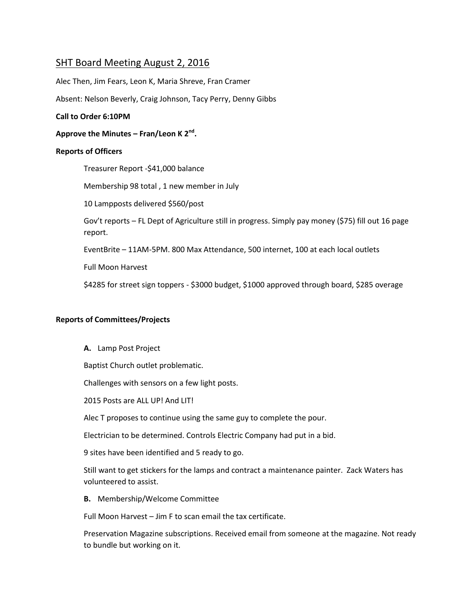# SHT Board Meeting August 2, 2016

Alec Then, Jim Fears, Leon K, Maria Shreve, Fran Cramer

Absent: Nelson Beverly, Craig Johnson, Tacy Perry, Denny Gibbs

### **Call to Order 6:10PM**

**Approve the Minutes – Fran/Leon K 2nd .**

### **Reports of Officers**

Treasurer Report -\$41,000 balance

Membership 98 total , 1 new member in July

10 Lampposts delivered \$560/post

Gov't reports – FL Dept of Agriculture still in progress. Simply pay money (\$75) fill out 16 page report.

EventBrite – 11AM-5PM. 800 Max Attendance, 500 internet, 100 at each local outlets

Full Moon Harvest

\$4285 for street sign toppers - \$3000 budget, \$1000 approved through board, \$285 overage

## **Reports of Committees/Projects**

**A.** Lamp Post Project

Baptist Church outlet problematic.

Challenges with sensors on a few light posts.

2015 Posts are ALL UP! And LIT!

Alec T proposes to continue using the same guy to complete the pour.

Electrician to be determined. Controls Electric Company had put in a bid.

9 sites have been identified and 5 ready to go.

Still want to get stickers for the lamps and contract a maintenance painter. Zack Waters has volunteered to assist.

**B.** Membership/Welcome Committee

Full Moon Harvest – Jim F to scan email the tax certificate.

Preservation Magazine subscriptions. Received email from someone at the magazine. Not ready to bundle but working on it.